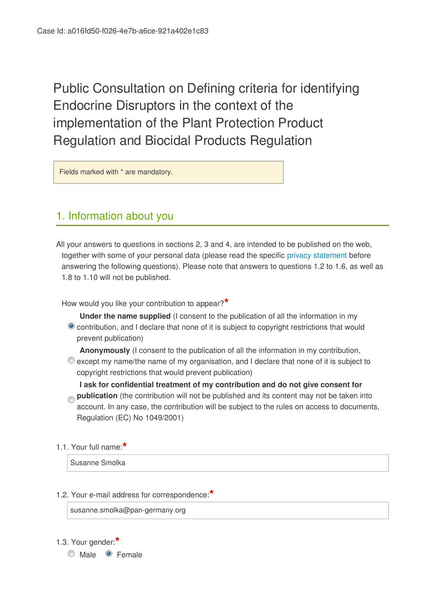Public Consultation on Defining criteria for identifying Endocrine Disruptors in the context of the implementation of the Plant Protection Product Regulation and Biocidal Products Regulation

Fields marked with \* are mandatory.

# 1. Information about you

All your answers to questions in sections 2, 3 and 4, are intended to be published on the web, together with some of your personal data (please read the specific [privacy statement](http://vestia.cc.cec.eu.int:8090/dgs/health_consumer/dgs_consultations/food/docs/consultation_20150116_privacy-statement-consultations-2011_en.pdf) before answering the following questions). Please note that answers to questions 1.2 to 1.6, as well as 1.8 to 1.10 will not be published.

How would you like your contribution to appear?**\***

- **Under the name supplied** (I consent to the publication of all the information in my contribution, and I declare that none of it is subject to copyright restrictions that would prevent publication)
- **Anonymously** (I consent to the publication of all the information in my contribution,  $\bullet$  except my name/the name of my organisation, and I declare that none of it is subject to copyright restrictions that would prevent publication)

**I ask for confidential treatment of my contribution and do not give consent for publication** (the contribution will not be published and its content may not be taken into account. In any case, the contribution will be subject to the rules on access to documents, Regulation (EC) No 1049/2001)

1.1. Your full name:**\***

Susanne Smolka

1.2. Your e-mail address for correspondence:**\***

susanne.smolka@pan-germany.org

1.3. Your gender:**\***

Male **C** Female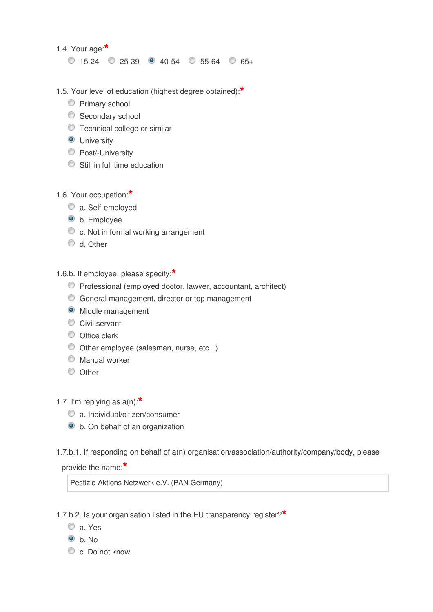1.4. Your age:**\***

 $0$  15-24  $0$  25-39  $0$  40-54  $0$  55-64  $0$  65+

- 1.5. Your level of education (highest degree obtained):**\***
	- **Primary school**
	- Secondary school
	- Technical college or similar
	- **O** University
	- **Post/-University**
	- Still in full time education
- 1.6. Your occupation:**\***
	- a. Self-employed
	- $\bullet$  b. Employee
	- c. Not in formal working arrangement
	- $\bullet$  d. Other
- 1.6.b. If employee, please specify:**\***
	- Professional (employed doctor, lawyer, accountant, architect)
	- General management, director or top management
	- $\bullet$  Middle management
	- Civil servant
	- O Office clerk
	- Other employee (salesman, nurse, etc...)
	- Manual worker
	- O Other
- 1.7. I'm replying as a(n):**\***
	- a. Individual/citizen/consumer
	- b. On behalf of an organization
- 1.7.b.1. If responding on behalf of a(n) organisation/association/authority/company/body, please

provide the name:**\***

Pestizid Aktions Netzwerk e.V. (PAN Germany)

1.7.b.2. Is your organisation listed in the EU transparency register?**\***

- a. Yes
- $\odot$  h No.
- c. Do not know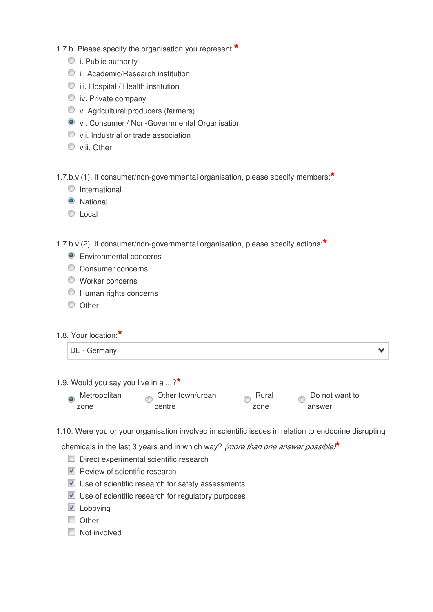- 1.7.b. Please specify the organisation you represent:**\***
	- $\bullet$  i. Public authority
	- ii. Academic/Research institution
	- $\bullet$  iii. Hospital / Health institution
	- $\bullet$  iv. Private company
	- v. Agricultural producers (farmers)
	- vi. Consumer / Non-Governmental Organisation
	- vii. Industrial or trade association
	- **Viii. Other**

1.7.b.vi(1). If consumer/non-governmental organisation, please specify members:**\***

- **O** International
- **O** National
- C Local

1.7.b.vi(2). If consumer/non-governmental organisation, please specify actions:**\***

- **Environmental concerns**
- Consumer concerns
- Worker concerns
- Human rights concerns
- <sup>O</sup> Other
- 1.8. Your location:**\***

1.9. Would you say you live in a ...?**\***

| Metropolitan | Other town/urban | Rural | Do not want to |  |
|--------------|------------------|-------|----------------|--|
| zone         | centre           | zone  | answer         |  |

1.10. Were you or your organisation involved in scientific issues in relation to endocrine disrupting

chemicals in the last 3 years and in which way? *(more than one answer possible)***\***

- Direct experimental scientific research
- $\nabla$  Review of scientific research
- Use of scientific research for safety assessments
- Use of scientific research for regulatory purposes
- **Lobbying**
- **Other**
- **Not involved**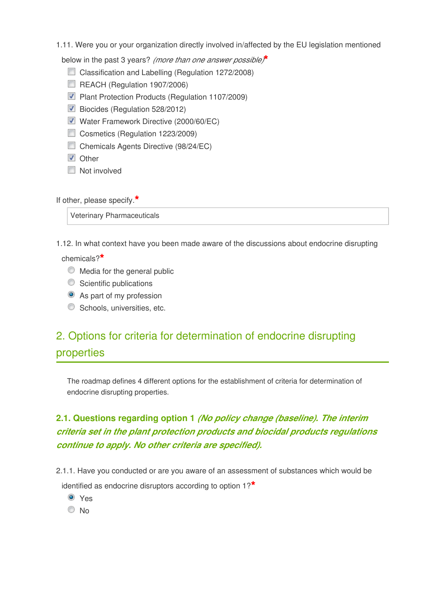1.11. Were you or your organization directly involved in/affected by the EU legislation mentioned

below in the past 3 years? *(more than one answer possible)***\***

- Classification and Labelling (Regulation 1272/2008)
- REACH (Regulation 1907/2006)
- **Plant Protection Products (Regulation 1107/2009)**
- Biocides (Regulation 528/2012)
- Water Framework Directive (2000/60/EC)
- Cosmetics (Regulation 1223/2009)
- Chemicals Agents Directive (98/24/EC)
- **V** Other
- Not involved

If other, please specify.**\***

Veterinary Pharmaceuticals

1.12. In what context have you been made aware of the discussions about endocrine disrupting

chemicals?**\***

- $\bullet$  Media for the general public
- Scientific publications
- As part of my profession
- **Schools, universities, etc.**

# 2. Options for criteria for determination of endocrine disrupting properties

The roadmap defines 4 different options for the establishment of criteria for determination of endocrine disrupting properties.

# **2.1. Questions regarding option 1** *(No policy change (baseline). The interim criteria set in the plant protection products and biocidal products regulations continue to apply. No other criteria are specified).*

2.1.1. Have you conducted or are you aware of an assessment of substances which would be

identified as endocrine disruptors according to option 1?**\***

- Yes
- $\odot$  No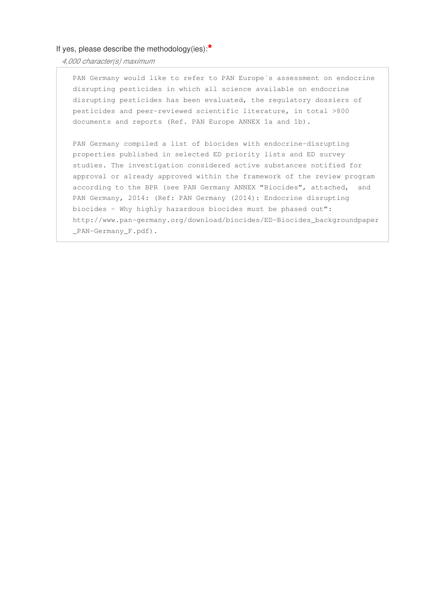### If yes, please describe the methodology(ies):**\***

*4,000 character(s) maximum* 

PAN Germany would like to refer to PAN Europe´s assessment on endocrine disrupting pesticides in which all science available on endocrine disrupting pesticides has been evaluated, the regulatory dossiers of pesticides and peer-reviewed scientific literature, in total >800 documents and reports (Ref. PAN Europe ANNEX 1a and 1b).

PAN Germany compiled a list of biocides with endocrine-disrupting properties published in selected ED priority lists and ED survey studies. The investigation considered active substances notified for approval or already approved within the framework of the review program according to the BPR (see PAN Germany ANNEX "Biocides", attached, and PAN Germany, 2014: (Ref: PAN Germany (2014): Endocrine disrupting biocides – Why highly hazardous biocides must be phased out": http://www.pan-germany.org/download/biocides/ED-Biocides\_backgroundpaper \_PAN-Germany\_F.pdf).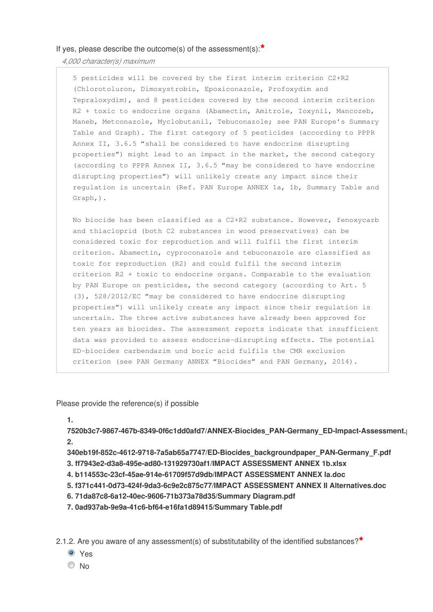*4,000 character(s) maximum* 

5 pesticides will be covered by the first interim criterion C2+R2 (Chlorotoluron, Dimoxystrobin, Epoxiconazole, Profoxydim and Tepraloxydim), and 8 pesticides covered by the second interim criterion R2 + toxic to endocrine organs (Abamectin, Amitrole, Ioxynil, Mancozeb, Maneb, Metconazole, Myclobutanil, Tebuconazole; see PAN Europe's Summary Table and Graph). The first category of 5 pesticides (according to PPPR Annex II, 3.6.5 "shall be considered to have endocrine disrupting properties") might lead to an impact in the market, the second category (according to PPPR Annex II, 3.6.5 "may be considered to have endocrine disrupting properties") will unlikely create any impact since their regulation is uncertain (Ref. PAN Europe ANNEX 1a, 1b, Summary Table and Graph,).

No biocide has been classified as a C2+R2 substance. However, fenoxycarb and thiacloprid (both C2 substances in wood preservatives) can be considered toxic for reproduction and will fulfil the first interim criterion. Abamectin, cyproconazole and tebuconazole are classified as toxic for reproduction (R2) and could fulfil the second interim criterion R2 + toxic to endocrine organs. Comparable to the evaluation by PAN Europe on pesticides, the second category (according to Art. 5 (3), 528/2012/EC "may be considered to have endocrine disrupting properties") will unlikely create any impact since their regulation is uncertain. The three active substances have already been approved for ten years as biocides. The assessment reports indicate that insufficient data was provided to assess endocrine-disrupting effects. The potential ED-biocides carbendazim und boric acid fulfils the CMR exclusion criterion (see PAN Germany ANNEX "Biocides" and PAN Germany, 2014).

Please provide the reference(s) if possible

**1.**

7520b3c7-9867-467b-8349-0f6c1dd0afd7/ANNEX-Biocides\_PAN-Germany\_ED-Impact-Assessment. **2.**

**340eb19f-852c-4612-9718-7a5ab65a7747/ED-Biocides\_backgroundpaper\_PAN-Germany\_F.pdf 3. ff7943e2-d3a8-495e-ad80-131929730af1/IMPACT ASSESSMENT ANNEX 1b.xlsx**

- **4. b114553c-23cf-45ae-914e-61709f57d9db/IMPACT ASSESSMENT ANNEX Ia.doc**
- **5. f371c441-0d73-424f-9da3-6c9e2c875c77/IMPACT ASSESSMENT ANNEX II Alternatives.doc**
- **6. 71da87c8-6a12-40ec-9606-71b373a78d35/Summary Diagram.pdf**
- **7. 0ad937ab-9e9a-41c6-bf64-e16fa1d89415/Summary Table.pdf**

2.1.2. Are you aware of any assessment(s) of substitutability of the identified substances?**\***

- Yes
- $\odot$  No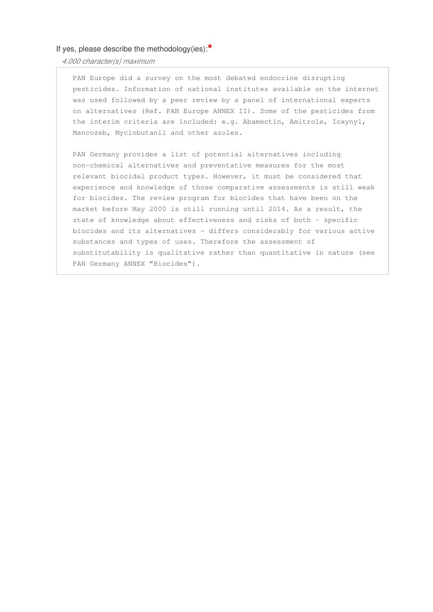### If yes, please describe the methodology(ies):**\***

*4,000 character(s) maximum* 

PAN Europe did a survey on the most debated endocrine disrupting pesticides. Information of national institutes available on the internet was used followed by a peer review by a panel of international experts on alternatives (Ref. PAN Europe ANNEX II). Some of the pesticides from the interim criteria are included: e.g. Abamectin, Amitrole, Ioxynyl, Mancozeb, Myclobutanil and other azoles.

PAN Germany provides a list of potential alternatives including non-chemical alternatives and preventative measures for the most relevant biocidal product types. However, it must be considered that experience and knowledge of those comparative assessments is still weak for biocides. The review program for biocides that have been on the market before May 2000 is still running until 2014. As a result, the state of knowledge about effectiveness and risks of both - specific biocides and its alternatives - differs considerably for various active substances and types of uses. Therefore the assessment of substitutability is qualitative rather than quantitative in nature (see PAN Germany ANNEX "Biocides").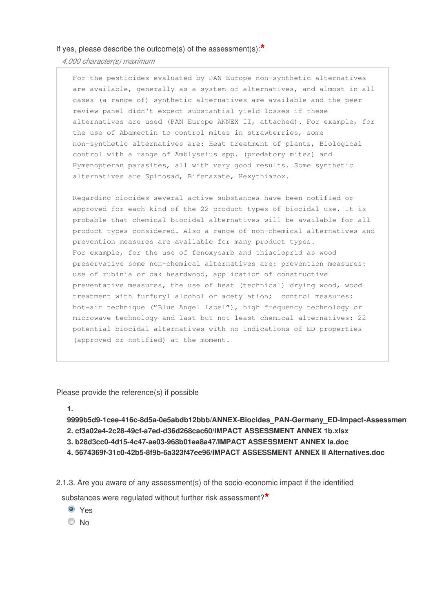*4,000 character(s) maximum* 

For the pesticides evaluated by PAN Europe non-synthetic alternatives are available, generally as a system of alternatives, and almost in all cases (a range of) synthetic alternatives are available and the peer review panel didn't expect substantial yield losses if these alternatives are used (PAN Europe ANNEX II, attached). For example, for the use of Abamectin to control mites in strawberries, some non-synthetic alternatives are: Heat treatment of plants, Biological control with a range of Amblyseius spp. (predatory mites) and Hymenopteran parasites, all with very good results. Some synthetic alternatives are Spinosad, Bifenazate, Hexythiazox.

Regarding biocides several active substances have been notified or approved for each kind of the 22 product types of biocidal use. It is probable that chemical biocidal alternatives will be available for all product types considered. Also a range of non-chemical alternatives and prevention measures are available for many product types. For example, for the use of fenoxycarb and thiacloprid as wood preservative some non-chemical alternatives are: prevention measures: use of rubinia or oak heardwood, application of constructive preventative measures, the use of heat (technical) drying wood, wood treatment with furfuryl alcohol or acetylation; control measures: hot-air technique ("Blue Angel label"), high frequency technology or microwave technology and last but not least chemical alternatives: 22 potential biocidal alternatives with no indications of ED properties (approved or notified) at the moment.

Please provide the reference(s) if possible

**1.**

**9999b5d9-1cee-416c-8d5a-0e5abdb12bbb/ANNEX-Biocides\_PAN-Germany\_ED-Impact-Assessment.pdf 2. cf3a02e4-2c28-49cf-a7ed-d36d268cac60/IMPACT ASSESSMENT ANNEX 1b.xlsx 3. b28d3cc0-4d15-4c47-ae03-968b01ea8a47/IMPACT ASSESSMENT ANNEX Ia.doc**

- **4. 5674369f-31c0-42b5-8f9b-6a323f47ee96/IMPACT ASSESSMENT ANNEX II Alternatives.doc**
- 2.1.3. Are you aware of any assessment(s) of the socio-economic impact if the identified

substances were regulated without further risk assessment?**\***

Yes

O No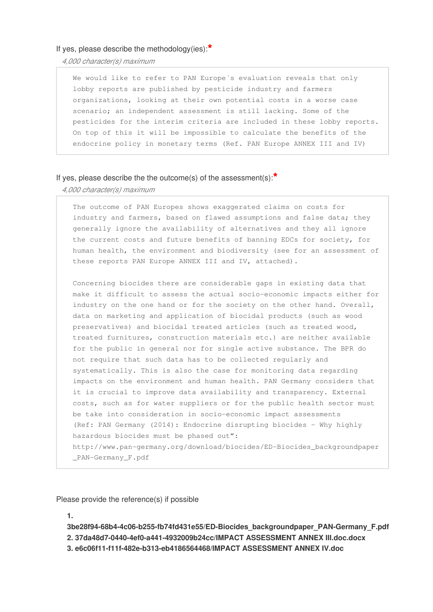#### If yes, please describe the methodology(ies):**\***

*4,000 character(s) maximum* 

We would like to refer to PAN Europe's evaluation reveals that only lobby reports are published by pesticide industry and farmers organizations, looking at their own potential costs in a worse case scenario; an independent assessment is still lacking. Some of the pesticides for the interim criteria are included in these lobby reports. On top of this it will be impossible to calculate the benefits of the endocrine policy in monetary terms (Ref. PAN Europe ANNEX III and IV)

#### If yes, please describe the the outcome(s) of the assessment(s):**\***

*4,000 character(s) maximum* 

The outcome of PAN Europes shows exaggerated claims on costs for industry and farmers, based on flawed assumptions and false data; they generally ignore the availability of alternatives and they all ignore the current costs and future benefits of banning EDCs for society, for human health, the environment and biodiversity (see for an assessment of these reports PAN Europe ANNEX III and IV, attached).

Concerning biocides there are considerable gaps in existing data that make it difficult to assess the actual socio-economic impacts either for industry on the one hand or for the society on the other hand. Overall, data on marketing and application of biocidal products (such as wood preservatives) and biocidal treated articles (such as treated wood, treated furnitures, construction materials etc.) are neither available for the public in general nor for single active substance. The BPR do not require that such data has to be collected regularly and systematically. This is also the case for monitoring data regarding impacts on the environment and human health. PAN Germany considers that it is crucial to improve data availability and transparency. External costs, such as for water suppliers or for the public health sector must be take into consideration in socio-economic impact assessments (Ref: PAN Germany (2014): Endocrine disrupting biocides – Why highly hazardous biocides must be phased out": http://www.pan-germany.org/download/biocides/ED-Biocides\_backgroundpaper \_PAN-Germany\_F.pdf

Please provide the reference(s) if possible

**1.**

**3be28f94-68b4-4c06-b255-fb74fd431e55/ED-Biocides\_backgroundpaper\_PAN-Germany\_F.pdf 2. 37da48d7-0440-4ef0-a441-4932009b24cc/IMPACT ASSESSMENT ANNEX III.doc.docx 3. e6c06f11-f11f-482e-b313-eb4186564468/IMPACT ASSESSMENT ANNEX IV.doc**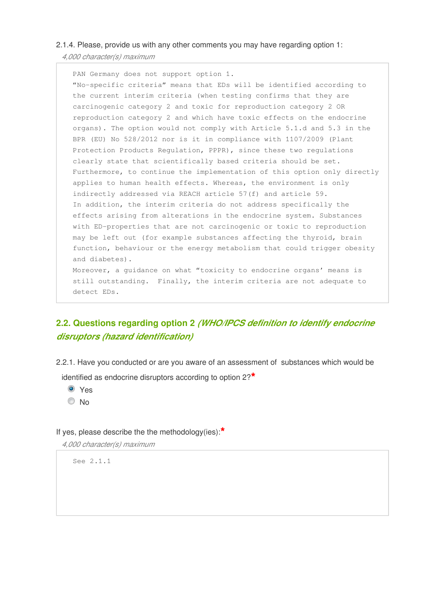## 2.1.4. Please, provide us with any other comments you may have regarding option 1:

*4,000 character(s) maximum* 

PAN Germany does not support option 1. "No-specific criteria" means that EDs will be identified according to the current interim criteria (when testing confirms that they are carcinogenic category 2 and toxic for reproduction category 2 OR reproduction category 2 and which have toxic effects on the endocrine organs). The option would not comply with Article 5.1.d and 5.3 in the BPR (EU) No 528/2012 nor is it in compliance with 1107/2009 (Plant Protection Products Regulation, PPPR), since these two regulations clearly state that scientifically based criteria should be set. Furthermore, to continue the implementation of this option only directly applies to human health effects. Whereas, the environment is only indirectly addressed via REACH article 57(f) and article 59. In addition, the interim criteria do not address specifically the effects arising from alterations in the endocrine system. Substances with ED-properties that are not carcinogenic or toxic to reproduction may be left out (for example substances affecting the thyroid, brain function, behaviour or the energy metabolism that could trigger obesity and diabetes). Moreover, a guidance on what "toxicity to endocrine organs' means is still outstanding. Finally, the interim criteria are not adequate to detect EDs.

# **2.2. Questions regarding option 2** *(WHO/IPCS definition to identify endocrine disruptors (hazard identification)*

2.2.1. Have you conducted or are you aware of an assessment of substances which would be

identified as endocrine disruptors according to option 2?**\***

- Yes
- © No

If yes, please describe the the methodology(ies):**\***

*4,000 character(s) maximum* 

See 2.1.1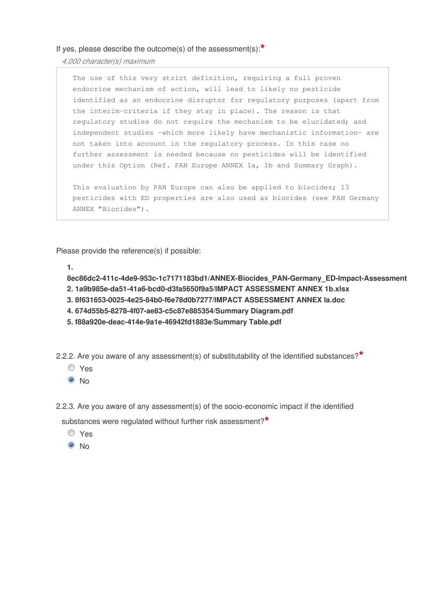*4,000 character(s) maximum* 

The use of this very strict definition, requiring a full proven endocrine mechanism of action, will lead to likely no pesticide identified as an endocrine disruptor for regulatory purposes (apart from the interim-criteria if they stay in place). The reason is that regulatory studies do not require the mechanism to be elucidated; and independent studies -which more likely have mechanistic information- are not taken into account in the regulatory process. In this case no further assessment is needed because no pesticides will be identified under this Option (Ref. PAN Europe ANNEX 1a, 1b and Summary Graph).

This evaluation by PAN Europe can also be applied to biocides; 13 pesticides with ED properties are also used as biocides (see PAN Germany ANNEX "Biocides").

Please provide the reference(s) if possible:

**1.**

8ec86dc2-411c-4de9-953c-1c7171183bd1/ANNEX-Biocides\_PAN-Germany\_ED-Impact-Assessment

- **2. 1a9b985e-da51-41a6-bcd0-d3fa5650f9a5/IMPACT ASSESSMENT ANNEX 1b.xlsx**
- **3. 8f631653-0025-4e25-84b0-f6e78d0b7277/IMPACT ASSESSMENT ANNEX Ia.doc**
- **4. 674d55b5-8278-4f07-ae83-c5c87e885354/Summary Diagram.pdf**
- **5. f88a920e-deac-414e-9a1e-46942fd1883e/Summary Table.pdf**

2.2.2. Are you aware of any assessment(s) of substitutability of the identified substances?**\***

- Yes
- <sup>O</sup>No

2.2.3. Are you aware of any assessment(s) of the socio-economic impact if the identified

substances were regulated without further risk assessment?**\***

- Yes
- $\odot$  No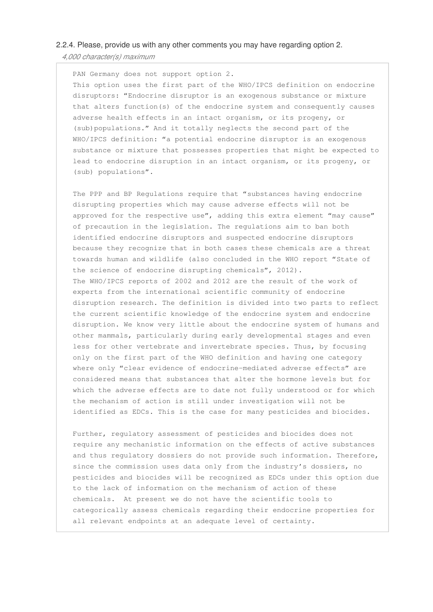### 2.2.4. Please, provide us with any other comments you may have regarding option 2.

*4,000 character(s) maximum* 

PAN Germany does not support option 2. This option uses the first part of the WHO/IPCS definition on endocrine disruptors: "Endocrine disruptor is an exogenous substance or mixture that alters function(s) of the endocrine system and consequently causes adverse health effects in an intact organism, or its progeny, or (sub)populations." And it totally neglects the second part of the WHO/IPCS definition: "a potential endocrine disruptor is an exogenous substance or mixture that possesses properties that might be expected to lead to endocrine disruption in an intact organism, or its progeny, or (sub) populations".

The PPP and BP Regulations require that "substances having endocrine disrupting properties which may cause adverse effects will not be approved for the respective use", adding this extra element "may cause" of precaution in the legislation. The regulations aim to ban both identified endocrine disruptors and suspected endocrine disruptors because they recognize that in both cases these chemicals are a threat towards human and wildlife (also concluded in the WHO report "State of the science of endocrine disrupting chemicals", 2012). The WHO/IPCS reports of 2002 and 2012 are the result of the work of experts from the international scientific community of endocrine disruption research. The definition is divided into two parts to reflect the current scientific knowledge of the endocrine system and endocrine disruption. We know very little about the endocrine system of humans and other mammals, particularly during early developmental stages and even less for other vertebrate and invertebrate species. Thus, by focusing only on the first part of the WHO definition and having one category where only "clear evidence of endocrine-mediated adverse effects" are considered means that substances that alter the hormone levels but for which the adverse effects are to date not fully understood or for which the mechanism of action is still under investigation will not be identified as EDCs. This is the case for many pesticides and biocides.

Further, regulatory assessment of pesticides and biocides does not require any mechanistic information on the effects of active substances and thus regulatory dossiers do not provide such information. Therefore, since the commission uses data only from the industry's dossiers, no pesticides and biocides will be recognized as EDCs under this option due to the lack of information on the mechanism of action of these chemicals. At present we do not have the scientific tools to categorically assess chemicals regarding their endocrine properties for all relevant endpoints at an adequate level of certainty.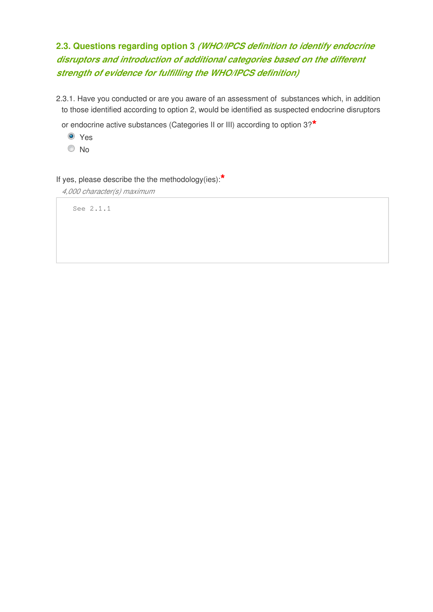# **2.3. Questions regarding option 3** *(WHO/IPCS definition to identify endocrine disruptors and introduction of additional categories based on the different strength of evidence for fulfilling the WHO/IPCS definition)*

2.3.1. Have you conducted or are you aware of an assessment of substances which, in addition to those identified according to option 2, would be identified as suspected endocrine disruptors

or endocrine active substances (Categories II or III) according to option 3?**\***

- Yes
- © No

If yes, please describe the the methodology(ies):**\***

*4,000 character(s) maximum* 

See 2.1.1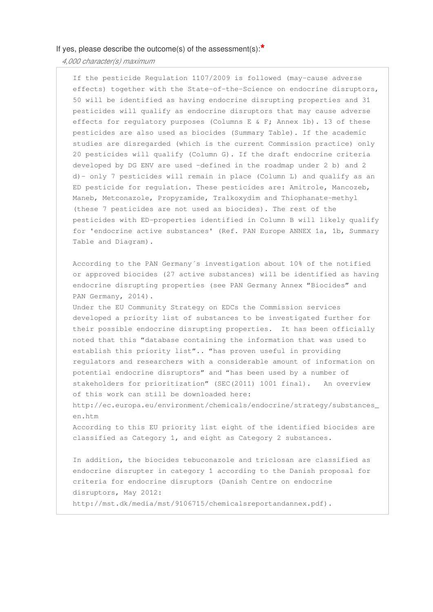*4,000 character(s) maximum* 

If the pesticide Regulation 1107/2009 is followed (may-cause adverse effects) together with the State-of-the-Science on endocrine disruptors, 50 will be identified as having endocrine disrupting properties and 31 pesticides will qualify as endocrine disruptors that may cause adverse effects for regulatory purposes (Columns E & F; Annex 1b). 13 of these pesticides are also used as biocides (Summary Table). If the academic studies are disregarded (which is the current Commission practice) only 20 pesticides will qualify (Column G). If the draft endocrine criteria developed by DG ENV are used -defined in the roadmap under 2 b) and 2 d)- only 7 pesticides will remain in place (Column L) and qualify as an ED pesticide for regulation. These pesticides are: Amitrole, Mancozeb, Maneb, Metconazole, Propyzamide, Tralkoxydim and Thiophanate-methyl (these 7 pesticides are not used as biocides). The rest of the pesticides with ED-properties identified in Column B will likely qualify for 'endocrine active substances' (Ref. PAN Europe ANNEX 1a, 1b, Summary Table and Diagram).

According to the PAN Germany´s investigation about 10% of the notified or approved biocides (27 active substances) will be identified as having endocrine disrupting properties (see PAN Germany Annex "Biocides" and PAN Germany, 2014).

Under the EU Community Strategy on EDCs the Commission services developed a priority list of substances to be investigated further for their possible endocrine disrupting properties. It has been officially noted that this "database containing the information that was used to establish this priority list".. "has proven useful in providing regulators and researchers with a considerable amount of information on potential endocrine disruptors" and "has been used by a number of stakeholders for prioritization" (SEC(2011) 1001 final). An overview of this work can still be downloaded here:

http://ec.europa.eu/environment/chemicals/endocrine/strategy/substances\_ en.htm

According to this EU priority list eight of the identified biocides are classified as Category 1, and eight as Category 2 substances.

In addition, the biocides tebuconazole and triclosan are classified as endocrine disrupter in category 1 according to the Danish proposal for criteria for endocrine disruptors (Danish Centre on endocrine disruptors, May 2012:

http://mst.dk/media/mst/9106715/chemicalsreportandannex.pdf).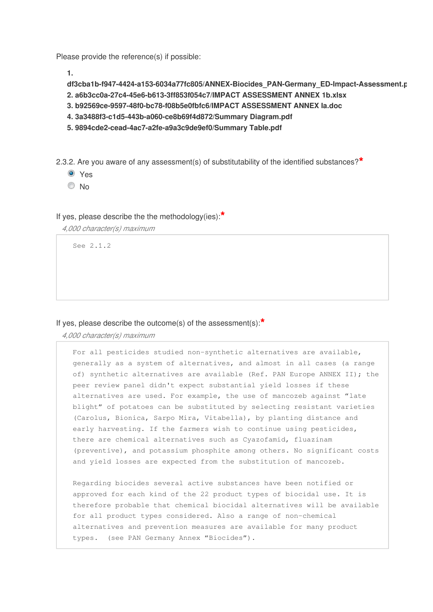Please provide the reference(s) if possible:

**1.**

**df3cba1b-f947-4424-a153-6034a77fc805/ANNEX-Biocides\_PAN-Germany\_ED-Impact-Assessment.pdf 2. a6b3cc0a-27c4-45e6-b613-3ff853f054c7/IMPACT ASSESSMENT ANNEX 1b.xlsx 3. b92569ce-9597-48f0-bc78-f08b5e0fbfc6/IMPACT ASSESSMENT ANNEX Ia.doc 4. 3a3488f3-c1d5-443b-a060-ce8b69f4d872/Summary Diagram.pdf 5. 9894cde2-cead-4ac7-a2fe-a9a3c9de9ef0/Summary Table.pdf**

2.3.2. Are you aware of any assessment(s) of substitutability of the identified substances?**\***

- **O** Yes
- $\odot$  No

## If yes, please describe the the methodology(ies):**\***

*4,000 character(s) maximum* 

See 2.1.2

## If yes, please describe the outcome(s) of the assessment(s):**\***

*4,000 character(s) maximum* 

For all pesticides studied non-synthetic alternatives are available, generally as a system of alternatives, and almost in all cases (a range of) synthetic alternatives are available (Ref. PAN Europe ANNEX II); the peer review panel didn't expect substantial yield losses if these alternatives are used. For example, the use of mancozeb against "late blight" of potatoes can be substituted by selecting resistant varieties (Carolus, Bionica, Sarpo Mira, Vitabella), by planting distance and early harvesting. If the farmers wish to continue using pesticides, there are chemical alternatives such as Cyazofamid, fluazinam (preventive), and potassium phosphite among others. No significant costs and yield losses are expected from the substitution of mancozeb.

Regarding biocides several active substances have been notified or approved for each kind of the 22 product types of biocidal use. It is therefore probable that chemical biocidal alternatives will be available for all product types considered. Also a range of non-chemical alternatives and prevention measures are available for many product types. (see PAN Germany Annex "Biocides").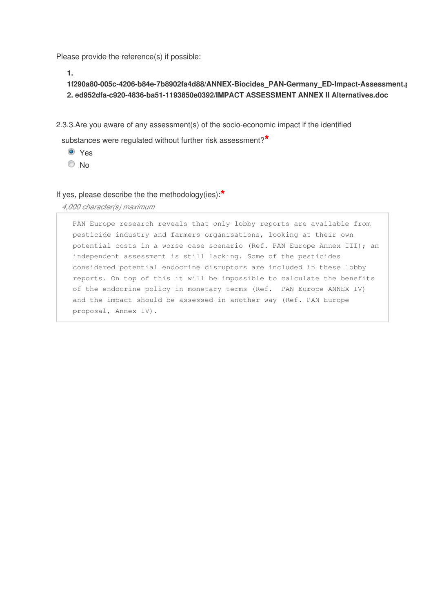Please provide the reference(s) if possible:

**1.**

# **1f290a80-005c-4206-b84e-7b8902fa4d88/ANNEX-Biocides\_PAN-Germany\_ED-Impact-Assessment.pdf 2. ed952dfa-c920-4836-ba51-1193850e0392/IMPACT ASSESSMENT ANNEX II Alternatives.doc**

2.3.3.Are you aware of any assessment(s) of the socio-economic impact if the identified

substances were regulated without further risk assessment?**\***

- Yes
- $\odot$  No

## If yes, please describe the the methodology(ies):**\***

*4,000 character(s) maximum* 

PAN Europe research reveals that only lobby reports are available from pesticide industry and farmers organisations, looking at their own potential costs in a worse case scenario (Ref. PAN Europe Annex III); an independent assessment is still lacking. Some of the pesticides considered potential endocrine disruptors are included in these lobby reports. On top of this it will be impossible to calculate the benefits of the endocrine policy in monetary terms (Ref. PAN Europe ANNEX IV) and the impact should be assessed in another way (Ref. PAN Europe proposal, Annex IV).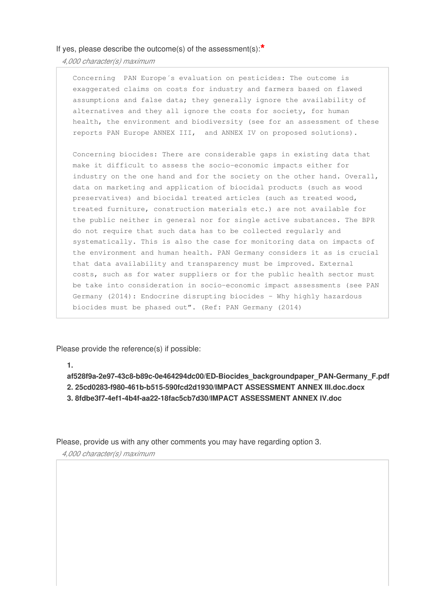*4,000 character(s) maximum* 

Concerning PAN Europe´s evaluation on pesticides: The outcome is exaggerated claims on costs for industry and farmers based on flawed assumptions and false data; they generally ignore the availability of alternatives and they all ignore the costs for society, for human health, the environment and biodiversity (see for an assessment of these reports PAN Europe ANNEX III, and ANNEX IV on proposed solutions).

Concerning biocides: There are considerable gaps in existing data that make it difficult to assess the socio-economic impacts either for industry on the one hand and for the society on the other hand. Overall, data on marketing and application of biocidal products (such as wood preservatives) and biocidal treated articles (such as treated wood, treated furniture, construction materials etc.) are not available for the public neither in general nor for single active substances. The BPR do not require that such data has to be collected regularly and systematically. This is also the case for monitoring data on impacts of the environment and human health. PAN Germany considers it as is crucial that data availability and transparency must be improved. External costs, such as for water suppliers or for the public health sector must be take into consideration in socio-economic impact assessments (see PAN Germany (2014): Endocrine disrupting biocides – Why highly hazardous biocides must be phased out". (Ref: PAN Germany (2014)

Please provide the reference(s) if possible:

**1.**

**af528f9a-2e97-43c8-b89c-0e464294dc00/ED-Biocides\_backgroundpaper\_PAN-Germany\_F.pdf 2. 25cd0283-f980-461b-b515-590fcd2d1930/IMPACT ASSESSMENT ANNEX III.doc.docx 3. 8fdbe3f7-4ef1-4b4f-aa22-18fac5cb7d30/IMPACT ASSESSMENT ANNEX IV.doc**

Please, provide us with any other comments you may have regarding option 3.

*4,000 character(s) maximum*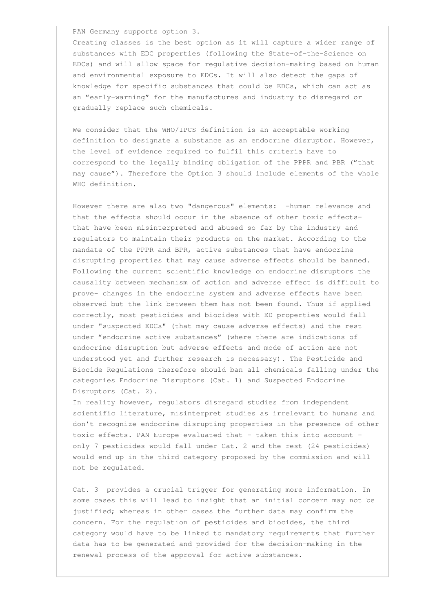PAN Germany supports option 3.

Creating classes is the best option as it will capture a wider range of substances with EDC properties (following the State-of-the-Science on EDCs) and will allow space for regulative decision-making based on human and environmental exposure to EDCs. It will also detect the gaps of knowledge for specific substances that could be EDCs, which can act as an "early-warning" for the manufactures and industry to disregard or gradually replace such chemicals.

We consider that the WHO/IPCS definition is an acceptable working definition to designate a substance as an endocrine disruptor. However, the level of evidence required to fulfil this criteria have to correspond to the legally binding obligation of the PPPR and PBR ("that may cause"). Therefore the Option 3 should include elements of the whole WHO definition.

However there are also two "dangerous" elements: -human relevance and that the effects should occur in the absence of other toxic effectsthat have been misinterpreted and abused so far by the industry and regulators to maintain their products on the market. According to the mandate of the PPPR and BPR, active substances that have endocrine disrupting properties that may cause adverse effects should be banned. Following the current scientific knowledge on endocrine disruptors the causality between mechanism of action and adverse effect is difficult to prove- changes in the endocrine system and adverse effects have been observed but the link between them has not been found. Thus if applied correctly, most pesticides and biocides with ED properties would fall under "suspected EDCs" (that may cause adverse effects) and the rest under "endocrine active substances" (where there are indications of endocrine disruption but adverse effects and mode of action are not understood yet and further research is necessary). The Pesticide and Biocide Regulations therefore should ban all chemicals falling under the categories Endocrine Disruptors (Cat. 1) and Suspected Endocrine Disruptors (Cat. 2).

In reality however, regulators disregard studies from independent scientific literature, misinterpret studies as irrelevant to humans and don't recognize endocrine disrupting properties in the presence of other toxic effects. PAN Europe evaluated that – taken this into account only 7 pesticides would fall under Cat. 2 and the rest (24 pesticides) would end up in the third category proposed by the commission and will not be regulated.

Cat. 3 provides a crucial trigger for generating more information. In some cases this will lead to insight that an initial concern may not be justified; whereas in other cases the further data may confirm the concern. For the regulation of pesticides and biocides, the third category would have to be linked to mandatory requirements that further data has to be generated and provided for the decision-making in the renewal process of the approval for active substances.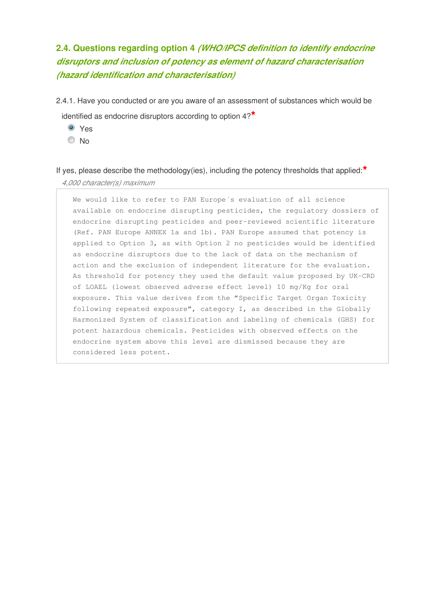# **2.4. Questions regarding option 4** *(WHO/IPCS definition to identify endocrine disruptors and inclusion of potency as element of hazard characterisation (hazard identification and characterisation)*

- 2.4.1. Have you conducted or are you aware of an assessment of substances which would be identified as endocrine disruptors according to option 4?**\***
	- **O** Yes
	- No

If yes, please describe the methodology(ies), including the potency thresholds that applied:**\*** *4,000 character(s) maximum* 

We would like to refer to PAN Europe´s evaluation of all science available on endocrine disrupting pesticides, the regulatory dossiers of endocrine disrupting pesticides and peer-reviewed scientific literature (Ref. PAN Europe ANNEX 1a and 1b). PAN Europe assumed that potency is applied to Option 3, as with Option 2 no pesticides would be identified as endocrine disruptors due to the lack of data on the mechanism of action and the exclusion of independent literature for the evaluation. As threshold for potency they used the default value proposed by UK-CRD of LOAEL (lowest observed adverse effect level) 10 mg/Kg for oral exposure. This value derives from the "Specific Target Organ Toxicity following repeated exposure", category I, as described in the Globally Harmonized System of classification and labeling of chemicals (GHS) for potent hazardous chemicals. Pesticides with observed effects on the endocrine system above this level are dismissed because they are considered less potent.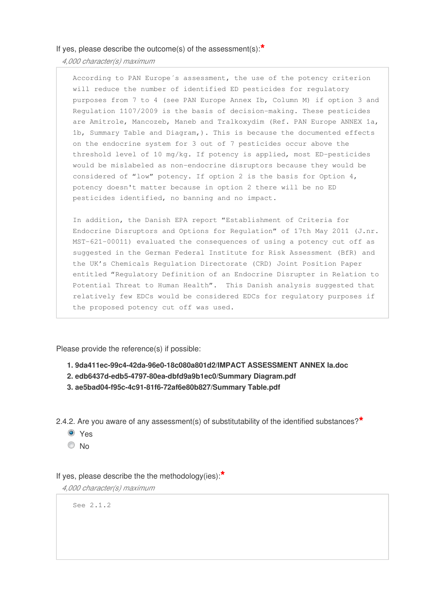*4,000 character(s) maximum* 

According to PAN Europe´s assessment, the use of the potency criterion will reduce the number of identified ED pesticides for regulatory purposes from 7 to 4 (see PAN Europe Annex Ib, Column M) if option 3 and Regulation 1107/2009 is the basis of decision-making. These pesticides are Amitrole, Mancozeb, Maneb and Tralkoxydim (Ref. PAN Europe ANNEX 1a, 1b, Summary Table and Diagram,). This is because the documented effects on the endocrine system for 3 out of 7 pesticides occur above the threshold level of 10 mg/kg. If potency is applied, most ED-pesticides would be mislabeled as non-endocrine disruptors because they would be considered of "low" potency. If option 2 is the basis for Option 4, potency doesn't matter because in option 2 there will be no ED pesticides identified, no banning and no impact.

In addition, the Danish EPA report "Establishment of Criteria for Endocrine Disruptors and Options for Regulation" of 17th May 2011 (J.nr. MST-621-00011) evaluated the consequences of using a potency cut off as suggested in the German Federal Institute for Risk Assessment (BfR) and the UK's Chemicals Regulation Directorate (CRD) Joint Position Paper entitled "Regulatory Definition of an Endocrine Disrupter in Relation to Potential Threat to Human Health". This Danish analysis suggested that relatively few EDCs would be considered EDCs for regulatory purposes if the proposed potency cut off was used.

Please provide the reference(s) if possible:

- **1. 9da411ec-99c4-42da-96e0-18c080a801d2/IMPACT ASSESSMENT ANNEX Ia.doc**
- **2. edb6437d-edb5-4797-80ea-dbfd9a9b1ec0/Summary Diagram.pdf**
- **3. ae5bad04-f95c-4c91-81f6-72af6e80b827/Summary Table.pdf**

2.4.2. Are you aware of any assessment(s) of substitutability of the identified substances?**\***

- Yes
- © No

If yes, please describe the the methodology(ies):**\***

*4,000 character(s) maximum* 

See 2.1.2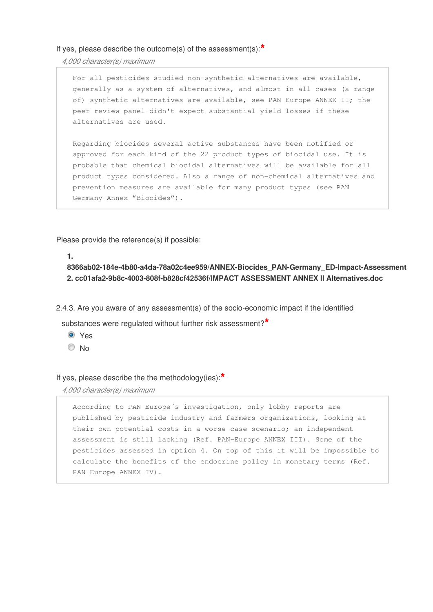*4,000 character(s) maximum* 

For all pesticides studied non-synthetic alternatives are available, generally as a system of alternatives, and almost in all cases (a range of) synthetic alternatives are available, see PAN Europe ANNEX II; the peer review panel didn't expect substantial yield losses if these alternatives are used.

Regarding biocides several active substances have been notified or approved for each kind of the 22 product types of biocidal use. It is probable that chemical biocidal alternatives will be available for all product types considered. Also a range of non-chemical alternatives and prevention measures are available for many product types (see PAN Germany Annex "Biocides").

Please provide the reference(s) if possible:

**1.**

**8366ab02-184e-4b80-a4da-78a02c4ee959/ANNEX-Biocides\_PAN-Germany\_ED-Impact-Assessment.pdf 2. cc01afa2-9b8c-4003-808f-b828cf42536f/IMPACT ASSESSMENT ANNEX II Alternatives.doc**

2.4.3. Are you aware of any assessment(s) of the socio-economic impact if the identified

substances were regulated without further risk assessment?**\***

- Yes
- O No

If yes, please describe the the methodology(ies):**\***

*4,000 character(s) maximum* 

According to PAN Europe´s investigation, only lobby reports are published by pesticide industry and farmers organizations, looking at their own potential costs in a worse case scenario; an independent assessment is still lacking (Ref. PAN-Europe ANNEX III). Some of the pesticides assessed in option 4. On top of this it will be impossible to calculate the benefits of the endocrine policy in monetary terms (Ref. PAN Europe ANNEX IV).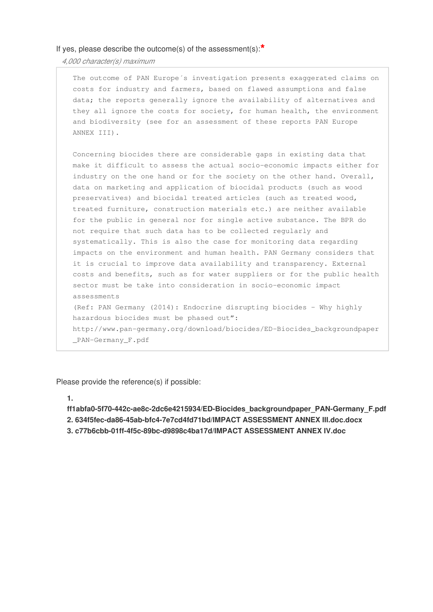*4,000 character(s) maximum* 

The outcome of PAN Europe´s investigation presents exaggerated claims on costs for industry and farmers, based on flawed assumptions and false data; the reports generally ignore the availability of alternatives and they all ignore the costs for society, for human health, the environment and biodiversity (see for an assessment of these reports PAN Europe ANNEX III). Concerning biocides there are considerable gaps in existing data that make it difficult to assess the actual socio-economic impacts either for

industry on the one hand or for the society on the other hand. Overall, data on marketing and application of biocidal products (such as wood preservatives) and biocidal treated articles (such as treated wood, treated furniture, construction materials etc.) are neither available for the public in general nor for single active substance. The BPR do not require that such data has to be collected regularly and systematically. This is also the case for monitoring data regarding impacts on the environment and human health. PAN Germany considers that it is crucial to improve data availability and transparency. External costs and benefits, such as for water suppliers or for the public health sector must be take into consideration in socio-economic impact assessments (Ref: PAN Germany (2014): Endocrine disrupting biocides – Why highly hazardous biocides must be phased out": http://www.pan-germany.org/download/biocides/ED-Biocides\_backgroundpaper

\_PAN-Germany\_F.pdf

Please provide the reference(s) if possible:

**1.**

**ff1abfa0-5f70-442c-ae8c-2dc6e4215934/ED-Biocides\_backgroundpaper\_PAN-Germany\_F.pdf 2. 634f5fec-da86-45ab-bfc4-7e7cd4fd71bd/IMPACT ASSESSMENT ANNEX III.doc.docx 3. c77b6cbb-01ff-4f5c-89bc-d9898c4ba17d/IMPACT ASSESSMENT ANNEX IV.doc**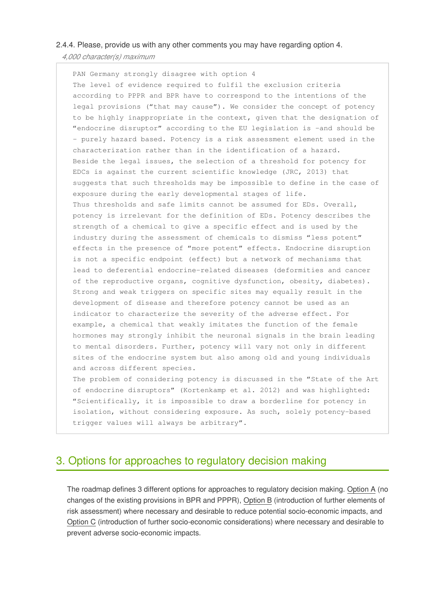### 2.4.4. Please, provide us with any other comments you may have regarding option 4.

*4,000 character(s) maximum* 

PAN Germany strongly disagree with option 4 The level of evidence required to fulfil the exclusion criteria according to PPPR and BPR have to correspond to the intentions of the legal provisions ("that may cause"). We consider the concept of potency to be highly inappropriate in the context, given that the designation of "endocrine disruptor" according to the EU legislation is -and should be - purely hazard based. Potency is a risk assessment element used in the characterization rather than in the identification of a hazard. Beside the legal issues, the selection of a threshold for potency for EDCs is against the current scientific knowledge (JRC, 2013) that suggests that such thresholds may be impossible to define in the case of exposure during the early developmental stages of life. Thus thresholds and safe limits cannot be assumed for EDs. Overall, potency is irrelevant for the definition of EDs. Potency describes the strength of a chemical to give a specific effect and is used by the industry during the assessment of chemicals to dismiss "less potent" effects in the presence of "more potent" effects. Endocrine disruption is not a specific endpoint (effect) but a network of mechanisms that lead to deferential endocrine-related diseases (deformities and cancer of the reproductive organs, cognitive dysfunction, obesity, diabetes). Strong and weak triggers on specific sites may equally result in the development of disease and therefore potency cannot be used as an indicator to characterize the severity of the adverse effect. For example, a chemical that weakly imitates the function of the female hormones may strongly inhibit the neuronal signals in the brain leading to mental disorders. Further, potency will vary not only in different sites of the endocrine system but also among old and young individuals and across different species. The problem of considering potency is discussed in the "State of the Art

of endocrine disruptors" (Kortenkamp et al. 2012) and was highlighted: "Scientifically, it is impossible to draw a borderline for potency in isolation, without considering exposure. As such, solely potency-based trigger values will always be arbitrary".

# 3. Options for approaches to regulatory decision making

The roadmap defines 3 different options for approaches to regulatory decision making. Option A (no changes of the existing provisions in BPR and PPPR), Option B (introduction of further elements of risk assessment) where necessary and desirable to reduce potential socio-economic impacts, and Option C (introduction of further socio-economic considerations) where necessary and desirable to prevent adverse socio-economic impacts.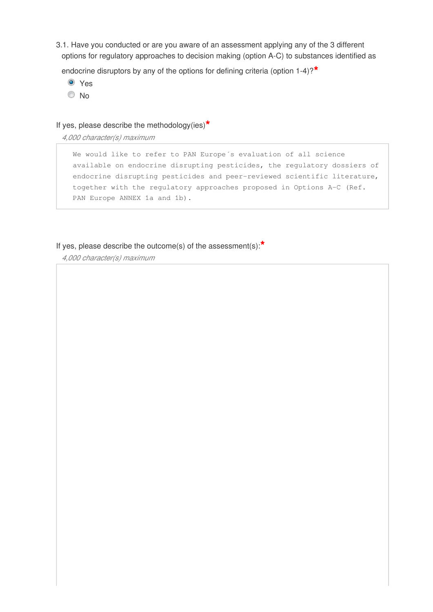3.1. Have you conducted or are you aware of an assessment applying any of the 3 different options for regulatory approaches to decision making (option A-C) to substances identified as

endocrine disruptors by any of the options for defining criteria (option 1-4)?**\***

- Yes
- No

## If yes, please describe the methodology(ies)**\***

*4,000 character(s) maximum* 

We would like to refer to PAN Europe´s evaluation of all science available on endocrine disrupting pesticides, the regulatory dossiers of endocrine disrupting pesticides and peer-reviewed scientific literature, together with the regulatory approaches proposed in Options A-C (Ref. PAN Europe ANNEX 1a and 1b).

## If yes, please describe the outcome(s) of the assessment(s):**\***

*4,000 character(s) maximum*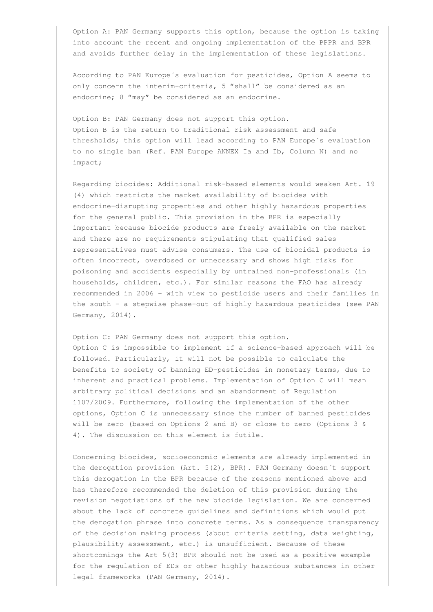Option A: PAN Germany supports this option, because the option is taking into account the recent and ongoing implementation of the PPPR and BPR and avoids further delay in the implementation of these legislations.

According to PAN Europe´s evaluation for pesticides, Option A seems to only concern the interim-criteria, 5 "shall" be considered as an endocrine; 8 "may" be considered as an endocrine.

Option B: PAN Germany does not support this option. Option B is the return to traditional risk assessment and safe thresholds; this option will lead according to PAN Europe´s evaluation to no single ban (Ref. PAN Europe ANNEX Ia and Ib, Column N) and no impact;

Regarding biocides: Additional risk-based elements would weaken Art. 19 (4) which restricts the market availability of biocides with endocrine-disrupting properties and other highly hazardous properties for the general public. This provision in the BPR is especially important because biocide products are freely available on the market and there are no requirements stipulating that qualified sales representatives must advise consumers. The use of biocidal products is often incorrect, overdosed or unnecessary and shows high risks for poisoning and accidents especially by untrained non-professionals (in households, children, etc.). For similar reasons the FAO has already recommended in 2006 – with view to pesticide users and their families in the south - a stepwise phase-out of highly hazardous pesticides (see PAN Germany, 2014).

Option C: PAN Germany does not support this option. Option C is impossible to implement if a science-based approach will be followed. Particularly, it will not be possible to calculate the benefits to society of banning ED-pesticides in monetary terms, due to inherent and practical problems. Implementation of Option C will mean arbitrary political decisions and an abandonment of Regulation 1107/2009. Furthermore, following the implementation of the other options, Option C is unnecessary since the number of banned pesticides will be zero (based on Options 2 and B) or close to zero (Options 3 & 4). The discussion on this element is futile.

Concerning biocides, socioeconomic elements are already implemented in the derogation provision (Art. 5(2), BPR). PAN Germany doesn´t support this derogation in the BPR because of the reasons mentioned above and has therefore recommended the deletion of this provision during the revision negotiations of the new biocide legislation. We are concerned about the lack of concrete guidelines and definitions which would put the derogation phrase into concrete terms. As a consequence transparency of the decision making process (about criteria setting, data weighting, plausibility assessment, etc.) is unsufficient. Because of these shortcomings the Art 5(3) BPR should not be used as a positive example for the regulation of EDs or other highly hazardous substances in other legal frameworks (PAN Germany, 2014).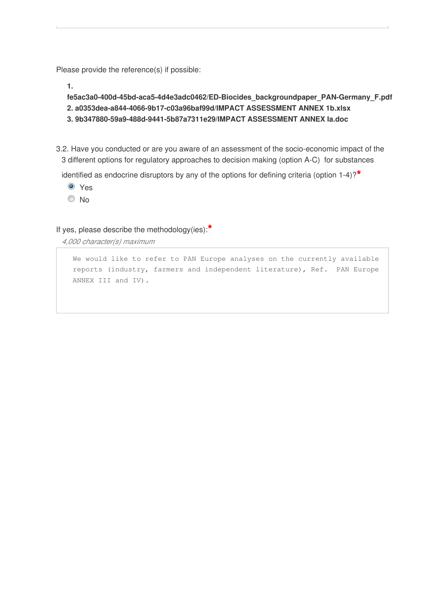Please provide the reference(s) if possible:

**1.**

```
fe5ac3a0-400d-45bd-aca5-4d4e3adc0462/ED-Biocides_backgroundpaper_PAN-Germany_F.pdf
2. a0353dea-a844-4066-9b17-c03a96baf99d/IMPACT ASSESSMENT ANNEX 1b.xlsx
3. 9b347880-59a9-488d-9441-5b87a7311e29/IMPACT ASSESSMENT ANNEX Ia.doc
```
3.2. Have you conducted or are you aware of an assessment of the socio-economic impact of the 3 different options for regulatory approaches to decision making (option A-C) for substances

identified as endocrine disruptors by any of the options for defining criteria (option 1-4)?**\***

- Yes
- © No

If yes, please describe the methodology(ies):**\***

*4,000 character(s) maximum* 

We would like to refer to PAN Europe analyses on the currently available reports (industry, farmers and independent literature), Ref. PAN Europe ANNEX III and IV).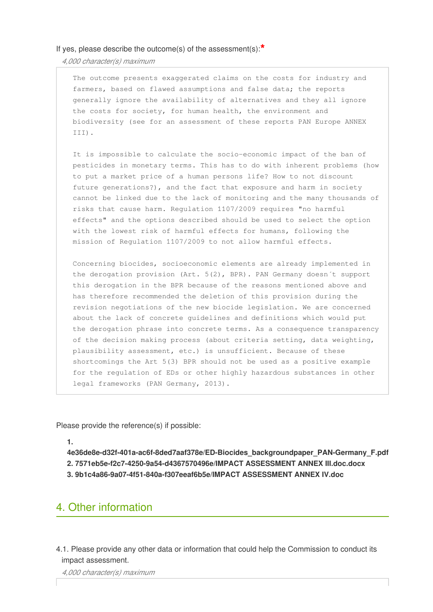*4,000 character(s) maximum* 

The outcome presents exaggerated claims on the costs for industry and farmers, based on flawed assumptions and false data; the reports generally ignore the availability of alternatives and they all ignore the costs for society, for human health, the environment and biodiversity (see for an assessment of these reports PAN Europe ANNEX III).

It is impossible to calculate the socio-economic impact of the ban of pesticides in monetary terms. This has to do with inherent problems (how to put a market price of a human persons life? How to not discount future generations?), and the fact that exposure and harm in society cannot be linked due to the lack of monitoring and the many thousands of risks that cause harm. Regulation 1107/2009 requires "no harmful effects" and the options described should be used to select the option with the lowest risk of harmful effects for humans, following the mission of Regulation 1107/2009 to not allow harmful effects.

Concerning biocides, socioeconomic elements are already implemented in the derogation provision (Art. 5(2), BPR). PAN Germany doesn´t support this derogation in the BPR because of the reasons mentioned above and has therefore recommended the deletion of this provision during the revision negotiations of the new biocide legislation. We are concerned about the lack of concrete guidelines and definitions which would put the derogation phrase into concrete terms. As a consequence transparency of the decision making process (about criteria setting, data weighting, plausibility assessment, etc.) is unsufficient. Because of these shortcomings the Art 5(3) BPR should not be used as a positive example for the regulation of EDs or other highly hazardous substances in other legal frameworks (PAN Germany, 2013).

Please provide the reference(s) if possible:

**1.**

**4e36de8e-d32f-401a-ac6f-8ded7aaf378e/ED-Biocides\_backgroundpaper\_PAN-Germany\_F.pdf 2. 7571eb5e-f2c7-4250-9a54-d4367570496e/IMPACT ASSESSMENT ANNEX III.doc.docx 3. 9b1c4a86-9a07-4f51-840a-f307eeaf6b5e/IMPACT ASSESSMENT ANNEX IV.doc**

# 4. Other information

4.1. Please provide any other data or information that could help the Commission to conduct its impact assessment.

*4,000 character(s) maximum*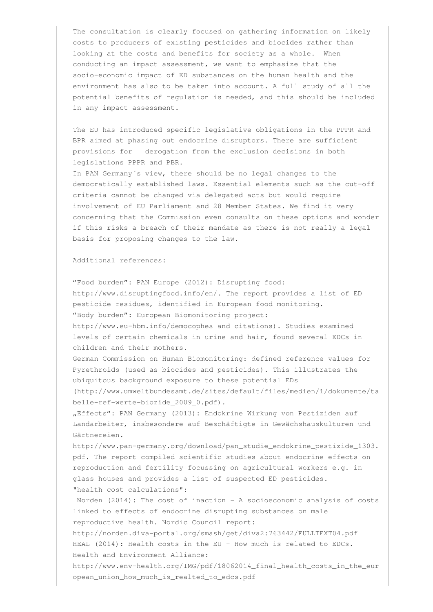The consultation is clearly focused on gathering information on likely costs to producers of existing pesticides and biocides rather than looking at the costs and benefits for society as a whole. When conducting an impact assessment, we want to emphasize that the socio-economic impact of ED substances on the human health and the environment has also to be taken into account. A full study of all the potential benefits of regulation is needed, and this should be included in any impact assessment.

The EU has introduced specific legislative obligations in the PPPR and BPR aimed at phasing out endocrine disruptors. There are sufficient provisions for derogation from the exclusion decisions in both legislations PPPR and PBR.

In PAN Germany´s view, there should be no legal changes to the democratically established laws. Essential elements such as the cut-off criteria cannot be changed via delegated acts but would require involvement of EU Parliament and 28 Member States. We find it very concerning that the Commission even consults on these options and wonder if this risks a breach of their mandate as there is not really a legal basis for proposing changes to the law.

### Additional references:

"Food burden": PAN Europe (2012): Disrupting food: http://www.disruptingfood.info/en/. The report provides a list of ED pesticide residues, identified in European food monitoring. "Body burden": European Biomonitoring project:

http://www.eu-hbm.info/democophes and citations). Studies examined levels of certain chemicals in urine and hair, found several EDCs in children and their mothers.

German Commission on Human Biomonitoring: defined reference values for Pyrethroids (used as biocides and pesticides). This illustrates the ubiquitous background exposure to these potential EDs

(http://www.umweltbundesamt.de/sites/default/files/medien/1/dokumente/ta belle-ref-werte-biozide\_2009\_0.pdf).

"Effects": PAN Germany (2013): Endokrine Wirkung von Pestiziden auf Landarbeiter, insbesondere auf Beschäftigte in Gewächshauskulturen und Gärtnereien.

http://www.pan-germany.org/download/pan\_studie\_endokrine\_pestizide\_1303. pdf. The report compiled scientific studies about endocrine effects on reproduction and fertility focussing on agricultural workers e.g. in glass houses and provides a list of suspected ED pesticides. "health cost calculations":

Norden (2014): The cost of inaction  $-$  A socioeconomic analysis of costs linked to effects of endocrine disrupting substances on male reproductive health. Nordic Council report: http://norden.diva-portal.org/smash/get/diva2:763442/FULLTEXT04.pdf HEAL (2014): Health costs in the EU - How much is related to EDCs. Health and Environment Alliance:

http://www.env-health.org/IMG/pdf/18062014\_final\_health\_costs\_in\_the\_eur opean\_union\_how\_much\_is\_realted\_to\_edcs.pdf